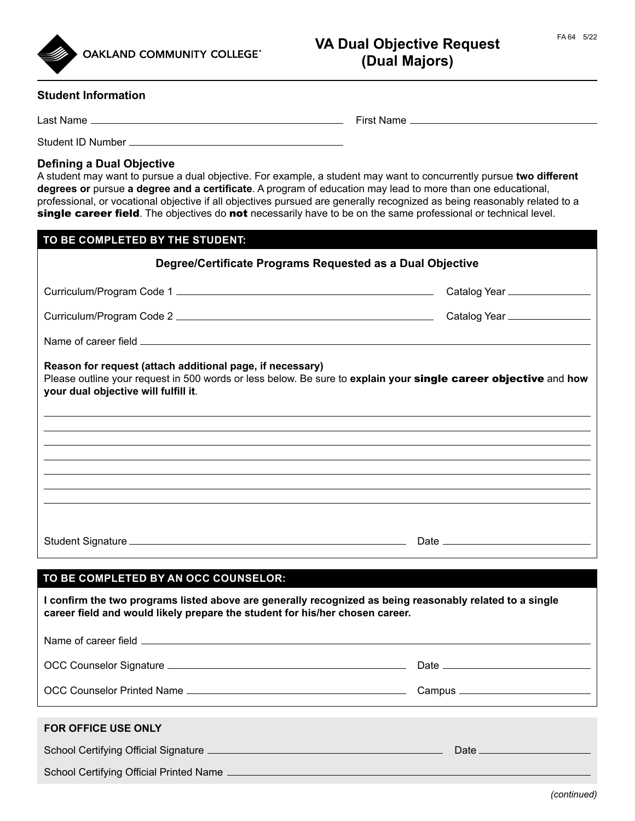



**OAKLAND COMMUNITY COLLEGE®** 

## VA Dual Objective Request FA64 5/22 **(Dual Majors)**

## **Student Information**

Last Name First Name

Student ID Number

## **Defining a Dual Objective**

A student may want to pursue a dual objective. For example, a student may want to concurrently pursue **two different degrees or** pursue **a degree and a certificate**. A program of education may lead to more than one educational, professional, or vocational objective if all objectives pursued are generally recognized as being reasonably related to a single career field. The objectives do not necessarily have to be on the same professional or technical level.

| TO BE COMPLETED BY THE STUDENT:                                                                                                                                                                                      |                               |
|----------------------------------------------------------------------------------------------------------------------------------------------------------------------------------------------------------------------|-------------------------------|
| Degree/Certificate Programs Requested as a Dual Objective                                                                                                                                                            |                               |
|                                                                                                                                                                                                                      | Catalog Year ________________ |
|                                                                                                                                                                                                                      |                               |
|                                                                                                                                                                                                                      |                               |
| Reason for request (attach additional page, if necessary)<br>Please outline your request in 500 words or less below. Be sure to explain your single career objective and how<br>your dual objective will fulfill it. |                               |
|                                                                                                                                                                                                                      |                               |
| ,我们也不会有什么。""我们的人,我们也不会有什么?""我们的人,我们也不会有什么?""我们的人,我们也不会有什么?""我们的人,我们也不会有什么?""我们的人                                                                                                                                     |                               |
|                                                                                                                                                                                                                      |                               |
|                                                                                                                                                                                                                      |                               |
|                                                                                                                                                                                                                      |                               |
|                                                                                                                                                                                                                      |                               |
| TO BE COMPLETED BY AN OCC COUNSELOR:                                                                                                                                                                                 |                               |
| I confirm the two programs listed above are generally recognized as being reasonably related to a single<br>career field and would likely prepare the student for his/her chosen career.                             |                               |
|                                                                                                                                                                                                                      |                               |

OCC Counselor Signature Date

OCC Counselor Printed Name Campus

**FOR OFFICE USE ONLY**

School Certifying Official Signature Date

School Certifying Official Printed Name